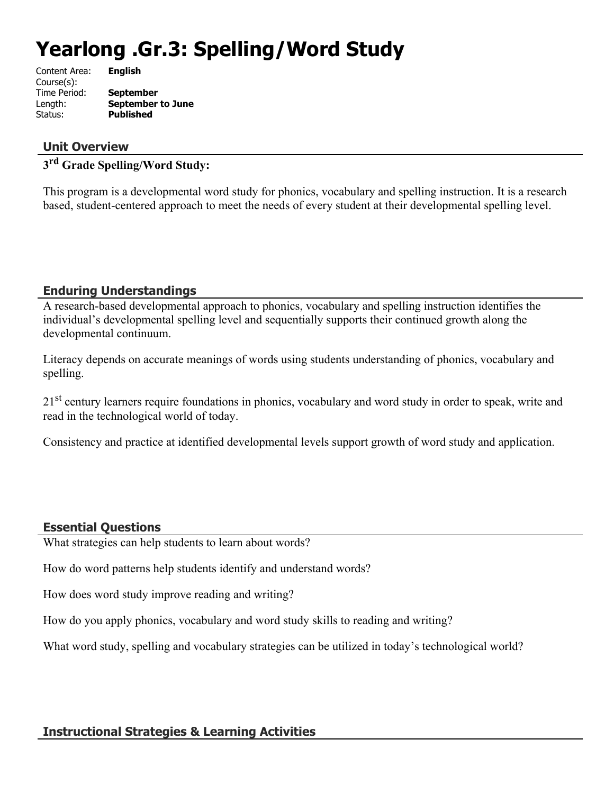# **Yearlong .Gr.3: Spelling/Word Study**

| Content Area: | <b>English</b>           |
|---------------|--------------------------|
| Course(s):    |                          |
| Time Period:  | <b>September</b>         |
| Length:       | <b>September to June</b> |
| Status:       | <b>Published</b>         |
|               |                          |

## **Unit Overview**

# **3 rd Grade Spelling/Word Study:**

This program is a developmental word study for phonics, vocabulary and spelling instruction. It is a research based, student-centered approach to meet the needs of every student at their developmental spelling level.

## **Enduring Understandings**

A research-based developmental approach to phonics, vocabulary and spelling instruction identifies the individual's developmental spelling level and sequentially supports their continued growth along the developmental continuum.

Literacy depends on accurate meanings of words using students understanding of phonics, vocabulary and spelling.

21<sup>st</sup> century learners require foundations in phonics, vocabulary and word study in order to speak, write and read in the technological world of today.

Consistency and practice at identified developmental levels support growth of word study and application.

## **Essential Questions**

What strategies can help students to learn about words?

How do word patterns help students identify and understand words?

How does word study improve reading and writing?

How do you apply phonics, vocabulary and word study skills to reading and writing?

What word study, spelling and vocabulary strategies can be utilized in today's technological world?

## **Instructional Strategies & Learning Activities**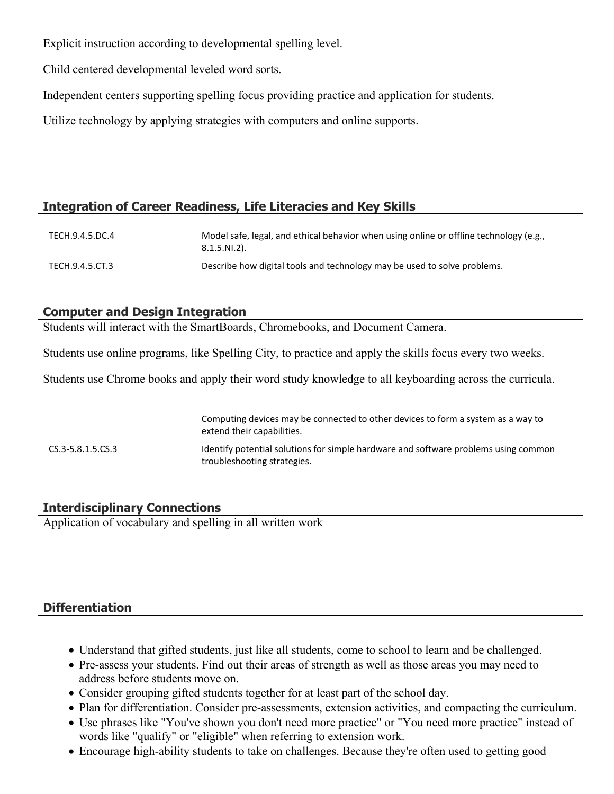Explicit instruction according to developmental spelling level.

Child centered developmental leveled word sorts.

Independent centers supporting spelling focus providing practice and application for students.

Utilize technology by applying strategies with computers and online supports.

## **Integration of Career Readiness, Life Literacies and Key Skills**

| TECH.9.4.5.DC.4 | Model safe, legal, and ethical behavior when using online or offline technology (e.g.,<br>$8.1.5.NI.2$ ). |
|-----------------|-----------------------------------------------------------------------------------------------------------|
| TECH.9.4.5.CT.3 | Describe how digital tools and technology may be used to solve problems.                                  |

## **Computer and Design Integration**

Students will interact with the SmartBoards, Chromebooks, and Document Camera.

Students use online programs, like Spelling City, to practice and apply the skills focus every two weeks.

Students use Chrome books and apply their word study knowledge to all keyboarding across the curricula.

|                       | Computing devices may be connected to other devices to form a system as a way to<br>extend their capabilities.     |
|-----------------------|--------------------------------------------------------------------------------------------------------------------|
| $CS.3 - 5.8.1.5.CS.3$ | Identify potential solutions for simple hardware and software problems using common<br>troubleshooting strategies. |

## **Interdisciplinary Connections**

Application of vocabulary and spelling in all written work

# **Differentiation**

- Understand that gifted students, just like all students, come to school to learn and be challenged.
- Pre-assess your students. Find out their areas of strength as well as those areas you may need to address before students move on.
- Consider grouping gifted students together for at least part of the school day.
- Plan for differentiation. Consider pre-assessments, extension activities, and compacting the curriculum.
- Use phrases like "You've shown you don't need more practice" or "You need more practice" instead of words like "qualify" or "eligible" when referring to extension work.
- Encourage high-ability students to take on challenges. Because they're often used to getting good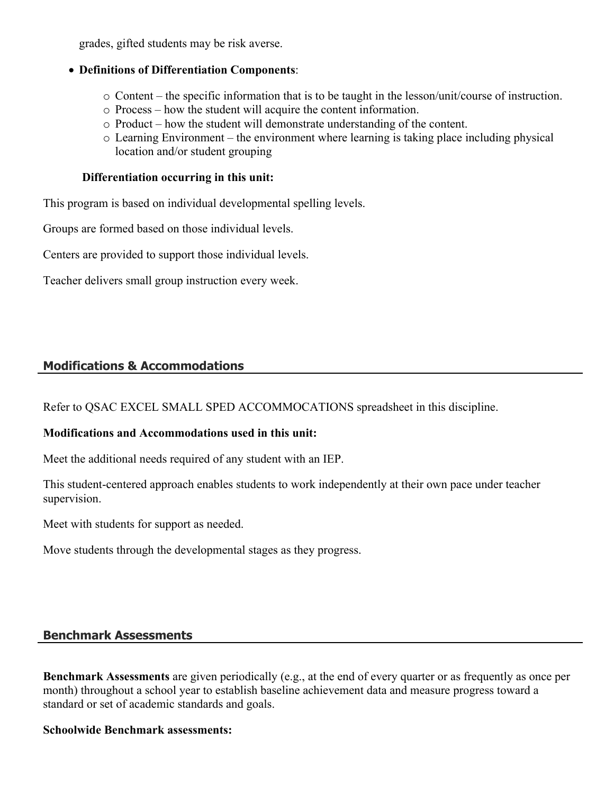grades, gifted students may be risk averse.

#### **Definitions of Differentiation Components**:

- o Content the specific information that is to be taught in the lesson/unit/course of instruction.
- o Process how the student will acquire the content information.
- o Product how the student will demonstrate understanding of the content.
- o Learning Environment the environment where learning is taking place including physical location and/or student grouping

#### **Differentiation occurring in this unit:**

This program is based on individual developmental spelling levels.

Groups are formed based on those individual levels.

Centers are provided to support those individual levels.

Teacher delivers small group instruction every week.

## **Modifications & Accommodations**

Refer to QSAC EXCEL SMALL SPED ACCOMMOCATIONS spreadsheet in this discipline.

#### **Modifications and Accommodations used in this unit:**

Meet the additional needs required of any student with an IEP.

This student-centered approach enables students to work independently at their own pace under teacher supervision.

Meet with students for support as needed.

Move students through the developmental stages as they progress.

#### **Benchmark Assessments**

**Benchmark Assessments** are given periodically (e.g., at the end of every quarter or as frequently as once per month) throughout a school year to establish baseline achievement data and measure progress toward a standard or set of academic standards and goals.

#### **Schoolwide Benchmark assessments:**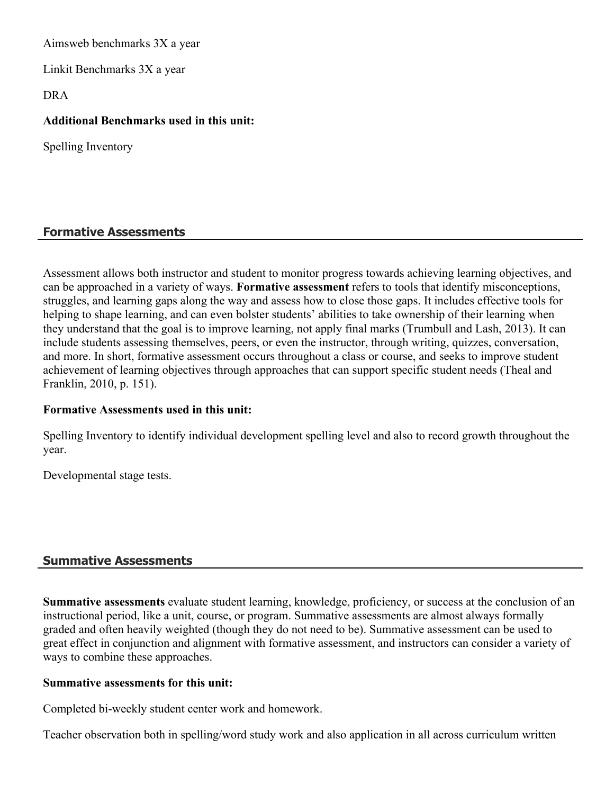Aimsweb benchmarks 3X a year

Linkit Benchmarks 3X a year

DRA

#### **Additional Benchmarks used in this unit:**

Spelling Inventory

### **Formative Assessments**

Assessment allows both instructor and student to monitor progress towards achieving learning objectives, and can be approached in a variety of ways. **Formative assessment** refers to tools that identify misconceptions, struggles, and learning gaps along the way and assess how to close those gaps. It includes effective tools for helping to shape learning, and can even bolster students' abilities to take ownership of their learning when they understand that the goal is to improve learning, not apply final marks (Trumbull and Lash, 2013). It can include students assessing themselves, peers, or even the instructor, through writing, quizzes, conversation, and more. In short, formative assessment occurs throughout a class or course, and seeks to improve student achievement of learning objectives through approaches that can support specific student needs (Theal and Franklin, 2010, p. 151).

#### **Formative Assessments used in this unit:**

Spelling Inventory to identify individual development spelling level and also to record growth throughout the year.

Developmental stage tests.

## **Summative Assessments**

**Summative assessments** evaluate student learning, knowledge, proficiency, or success at the conclusion of an instructional period, like a unit, course, or program. Summative assessments are almost always formally graded and often heavily weighted (though they do not need to be). Summative assessment can be used to great effect in conjunction and alignment with formative assessment, and instructors can consider a variety of ways to combine these approaches.

#### **Summative assessments for this unit:**

Completed bi-weekly student center work and homework.

Teacher observation both in spelling/word study work and also application in all across curriculum written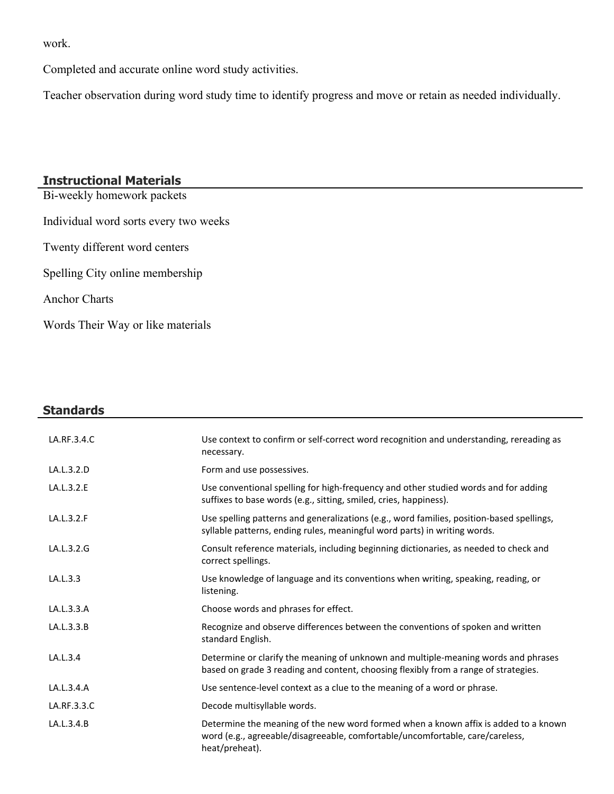work.

Completed and accurate online word study activities.

Teacher observation during word study time to identify progress and move or retain as needed individually.

### **Instructional Materials**

Bi-weekly homework packets Individual word sorts every two weeks Twenty different word centers Spelling City online membership Anchor Charts Words Their Way or like materials

# **Standards** LA.RF.3.4.C Subsection Use context to confirm or self-correct word recognition and understanding, rereading as necessary. LA.L.3.2.D Form and use possessives. LA.L.3.2.E Use conventional spelling for high-frequency and other studied words and for adding suffixes to base words (e.g., sitting, smiled, cries, happiness). LA.L.3.2.F Subsetspelling patterns and generalizations (e.g., word families, position-based spellings, syllable patterns, ending rules, meaningful word parts) in writing words. LA.L.3.2.G Consult reference materials, including beginning dictionaries, as needed to check and correct spellings. LA.L.3.3 **Example 1** Use knowledge of language and its conventions when writing, speaking, reading, or listening. LA.L.3.3.A Choose words and phrases for effect. LA.L.3.3.B Recognize and observe differences between the conventions of spoken and written standard English. LA.L.3.4 Determine or clarify the meaning of unknown and multiple-meaning words and phrases based on grade 3 reading and content, choosing flexibly from a range of strategies. LA.L.3.4.A Use sentence-level context as a clue to the meaning of a word or phrase. LA.RF.3.3.C Decode multisyllable words. LA.L.3.4.B Determine the meaning of the new word formed when a known affix is added to a known word (e.g., agreeable/disagreeable, comfortable/uncomfortable, care/careless, heat/preheat).